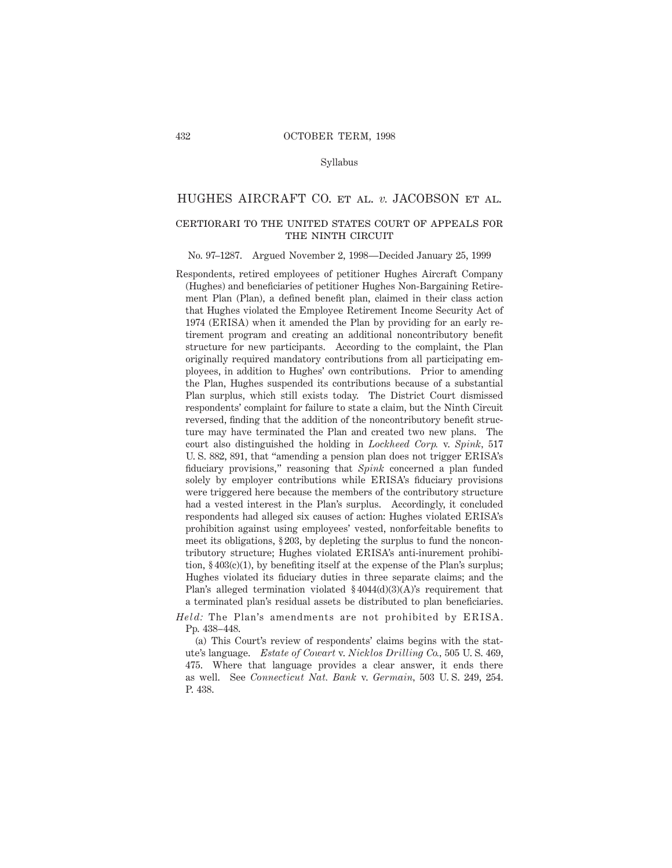#### Syllabus

## HUGHES AIRCRAFT CO. et al. *v.* JACOBSON et al.

# certiorari to the united states court of appeals for THE NINTH CIRCUIT

#### No. 97–1287. Argued November 2, 1998—Decided January 25, 1999

Respondents, retired employees of petitioner Hughes Aircraft Company (Hughes) and beneficiaries of petitioner Hughes Non-Bargaining Retirement Plan (Plan), a defined benefit plan, claimed in their class action that Hughes violated the Employee Retirement Income Security Act of 1974 (ERISA) when it amended the Plan by providing for an early retirement program and creating an additional noncontributory benefit structure for new participants. According to the complaint, the Plan originally required mandatory contributions from all participating employees, in addition to Hughes' own contributions. Prior to amending the Plan, Hughes suspended its contributions because of a substantial Plan surplus, which still exists today. The District Court dismissed respondents' complaint for failure to state a claim, but the Ninth Circuit reversed, finding that the addition of the noncontributory benefit structure may have terminated the Plan and created two new plans. The court also distinguished the holding in *Lockheed Corp.* v. *Spink,* 517 U. S. 882, 891, that "amending a pension plan does not trigger ERISA's fiduciary provisions," reasoning that *Spink* concerned a plan funded solely by employer contributions while ERISA's fiduciary provisions were triggered here because the members of the contributory structure had a vested interest in the Plan's surplus. Accordingly, it concluded respondents had alleged six causes of action: Hughes violated ERISA's prohibition against using employees' vested, nonforfeitable benefits to meet its obligations, § 203, by depleting the surplus to fund the noncontributory structure; Hughes violated ERISA's anti-inurement prohibition, § 403(c)(1), by benefiting itself at the expense of the Plan's surplus; Hughes violated its fiduciary duties in three separate claims; and the Plan's alleged termination violated § 4044(d)(3)(A)'s requirement that a terminated plan's residual assets be distributed to plan beneficiaries.

*Held:* The Plan's amendments are not prohibited by ERISA. Pp. 438–448.

(a) This Court's review of respondents' claims begins with the statute's language. *Estate of Cowart* v. *Nicklos Drilling Co.,* 505 U. S. 469, 475. Where that language provides a clear answer, it ends there as well. See *Connecticut Nat. Bank* v. *Germain,* 503 U. S. 249, 254. P. 438.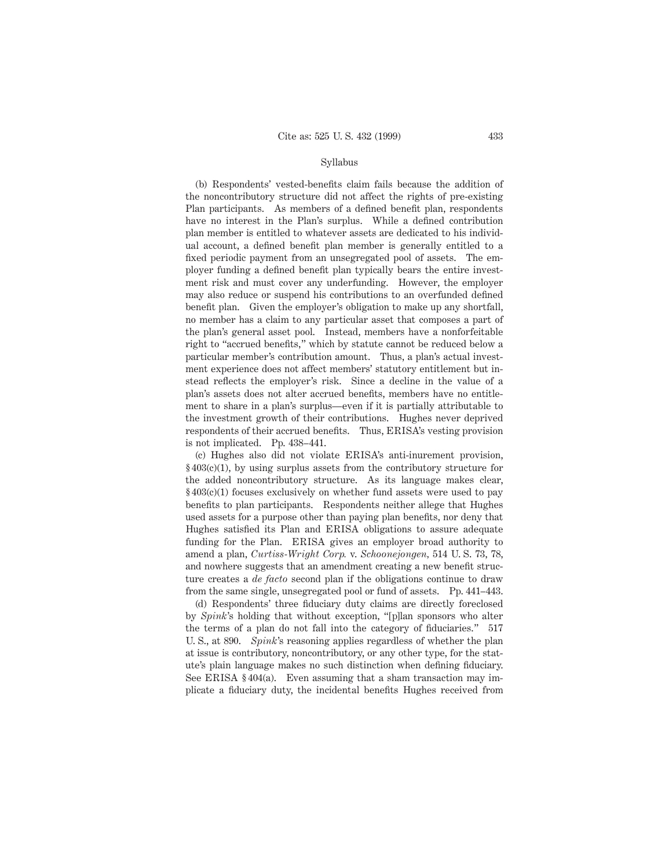#### Syllabus

(b) Respondents' vested-benefits claim fails because the addition of the noncontributory structure did not affect the rights of pre-existing Plan participants. As members of a defined benefit plan, respondents have no interest in the Plan's surplus. While a defined contribution plan member is entitled to whatever assets are dedicated to his individual account, a defined benefit plan member is generally entitled to a fixed periodic payment from an unsegregated pool of assets. The employer funding a defined benefit plan typically bears the entire investment risk and must cover any underfunding. However, the employer may also reduce or suspend his contributions to an overfunded defined benefit plan. Given the employer's obligation to make up any shortfall, no member has a claim to any particular asset that composes a part of the plan's general asset pool. Instead, members have a nonforfeitable right to "accrued benefits," which by statute cannot be reduced below a particular member's contribution amount. Thus, a plan's actual investment experience does not affect members' statutory entitlement but instead reflects the employer's risk. Since a decline in the value of a plan's assets does not alter accrued benefits, members have no entitlement to share in a plan's surplus—even if it is partially attributable to the investment growth of their contributions. Hughes never deprived respondents of their accrued benefits. Thus, ERISA's vesting provision is not implicated. Pp. 438–441.

(c) Hughes also did not violate ERISA's anti-inurement provision, § 403(c)(1), by using surplus assets from the contributory structure for the added noncontributory structure. As its language makes clear, § 403(c)(1) focuses exclusively on whether fund assets were used to pay benefits to plan participants. Respondents neither allege that Hughes used assets for a purpose other than paying plan benefits, nor deny that Hughes satisfied its Plan and ERISA obligations to assure adequate funding for the Plan. ERISA gives an employer broad authority to amend a plan, *Curtiss-Wright Corp.* v. *Schoonejongen,* 514 U. S. 73, 78, and nowhere suggests that an amendment creating a new benefit structure creates a *de facto* second plan if the obligations continue to draw from the same single, unsegregated pool or fund of assets. Pp. 441–443.

(d) Respondents' three fiduciary duty claims are directly foreclosed by *Spink*'s holding that without exception, "[p]lan sponsors who alter the terms of a plan do not fall into the category of fiduciaries." 517 U. S., at 890. *Spink*'s reasoning applies regardless of whether the plan at issue is contributory, noncontributory, or any other type, for the statute's plain language makes no such distinction when defining fiduciary. See ERISA § 404(a). Even assuming that a sham transaction may implicate a fiduciary duty, the incidental benefits Hughes received from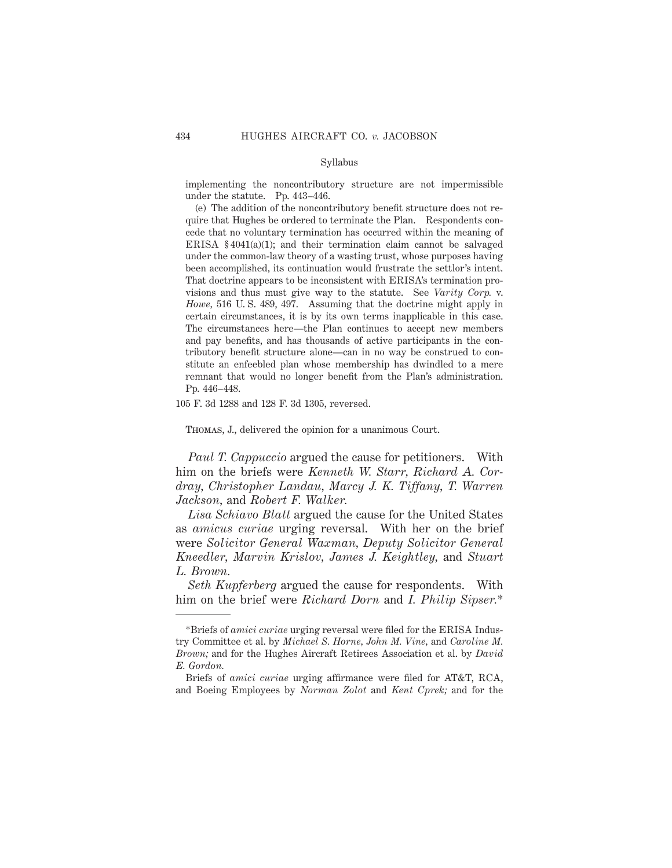#### Syllabus

implementing the noncontributory structure are not impermissible under the statute. Pp. 443–446.

(e) The addition of the noncontributory benefit structure does not require that Hughes be ordered to terminate the Plan. Respondents concede that no voluntary termination has occurred within the meaning of ERISA § 4041(a)(1); and their termination claim cannot be salvaged under the common-law theory of a wasting trust, whose purposes having been accomplished, its continuation would frustrate the settlor's intent. That doctrine appears to be inconsistent with ERISA's termination provisions and thus must give way to the statute. See *Varity Corp.* v. *Howe,* 516 U. S. 489, 497. Assuming that the doctrine might apply in certain circumstances, it is by its own terms inapplicable in this case. The circumstances here—the Plan continues to accept new members and pay benefits, and has thousands of active participants in the contributory benefit structure alone—can in no way be construed to constitute an enfeebled plan whose membership has dwindled to a mere remnant that would no longer benefit from the Plan's administration. Pp. 446–448.

105 F. 3d 1288 and 128 F. 3d 1305, reversed.

Thomas, J., delivered the opinion for a unanimous Court.

*Paul T. Cappuccio* argued the cause for petitioners. With him on the briefs were *Kenneth W. Starr, Richard A. Cordray, Christopher Landau, Marcy J. K. Tiffany, T. Warren Jackson,* and *Robert F. Walker.*

*Lisa Schiavo Blatt* argued the cause for the United States as *amicus curiae* urging reversal. With her on the brief were *Solicitor General Waxman, Deputy Solicitor General Kneedler, Marvin Krislov, James J. Keightley,* and *Stuart L. Brown.*

*Seth Kupferberg* argued the cause for respondents. With him on the brief were *Richard Dorn* and *I. Philip Sipser.*\*

<sup>\*</sup>Briefs of *amici curiae* urging reversal were filed for the ERISA Industry Committee et al. by *Michael S. Horne, John M. Vine,* and *Caroline M. Brown;* and for the Hughes Aircraft Retirees Association et al. by *David E. Gordon.*

Briefs of *amici curiae* urging affirmance were filed for AT&T, RCA, and Boeing Employees by *Norman Zolot* and *Kent Cprek;* and for the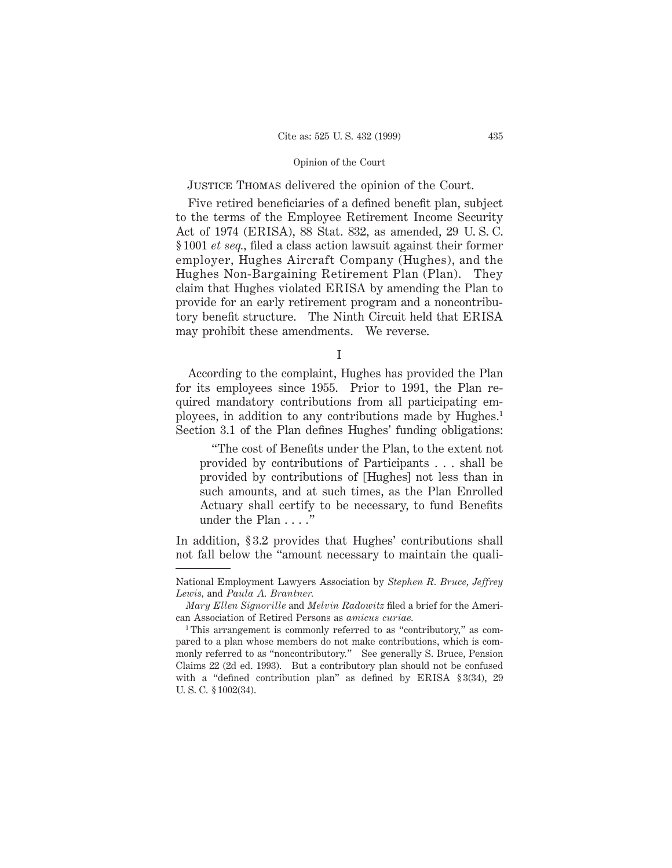Justice Thomas delivered the opinion of the Court.

Five retired beneficiaries of a defined benefit plan, subject to the terms of the Employee Retirement Income Security Act of 1974 (ERISA), 88 Stat. 832, as amended, 29 U. S. C. § 1001 *et seq.,* filed a class action lawsuit against their former employer, Hughes Aircraft Company (Hughes), and the Hughes Non-Bargaining Retirement Plan (Plan). They claim that Hughes violated ERISA by amending the Plan to provide for an early retirement program and a noncontributory benefit structure. The Ninth Circuit held that ERISA may prohibit these amendments. We reverse.

I

According to the complaint, Hughes has provided the Plan for its employees since 1955. Prior to 1991, the Plan required mandatory contributions from all participating employees, in addition to any contributions made by Hughes.1 Section 3.1 of the Plan defines Hughes' funding obligations:

"The cost of Benefits under the Plan, to the extent not provided by contributions of Participants . . . shall be provided by contributions of [Hughes] not less than in such amounts, and at such times, as the Plan Enrolled Actuary shall certify to be necessary, to fund Benefits under the Plan . . . ."

In addition, § 3.2 provides that Hughes' contributions shall not fall below the "amount necessary to maintain the quali-

National Employment Lawyers Association by *Stephen R. Bruce, Jeffrey Lewis,* and *Paula A. Brantner.*

*Mary Ellen Signorille* and *Melvin Radowitz* filed a brief for the American Association of Retired Persons as *amicus curiae.*

<sup>&</sup>lt;sup>1</sup>This arrangement is commonly referred to as "contributory," as compared to a plan whose members do not make contributions, which is commonly referred to as "noncontributory." See generally S. Bruce, Pension Claims 22 (2d ed. 1993). But a contributory plan should not be confused with a "defined contribution plan" as defined by ERISA § 3(34), 29 U. S. C. § 1002(34).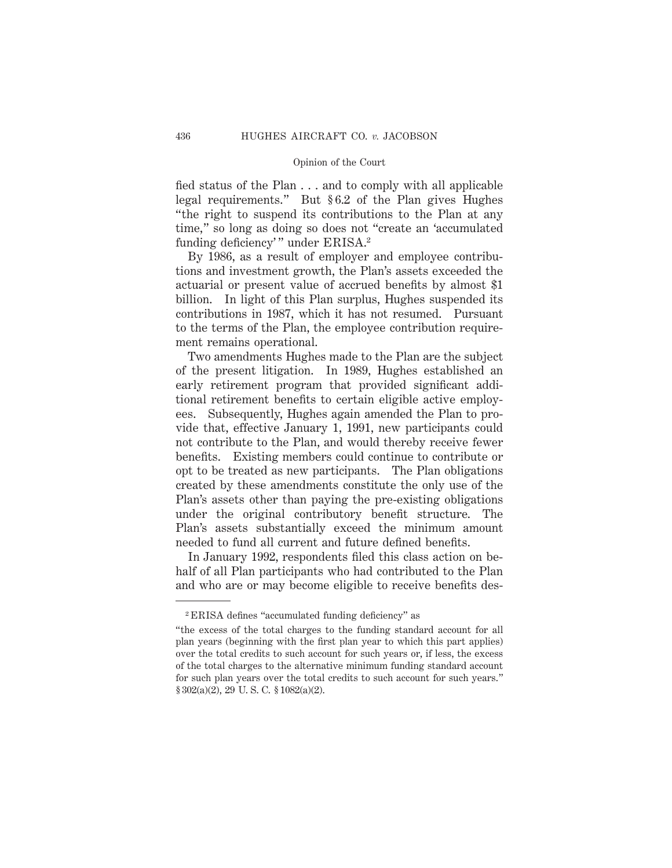fied status of the Plan . . . and to comply with all applicable legal requirements." But § 6.2 of the Plan gives Hughes "the right to suspend its contributions to the Plan at any time," so long as doing so does not "create an 'accumulated funding deficiency'" under ERISA.<sup>2</sup>

By 1986, as a result of employer and employee contributions and investment growth, the Plan's assets exceeded the actuarial or present value of accrued benefits by almost \$1 billion. In light of this Plan surplus, Hughes suspended its contributions in 1987, which it has not resumed. Pursuant to the terms of the Plan, the employee contribution requirement remains operational.

Two amendments Hughes made to the Plan are the subject of the present litigation. In 1989, Hughes established an early retirement program that provided significant additional retirement benefits to certain eligible active employees. Subsequently, Hughes again amended the Plan to provide that, effective January 1, 1991, new participants could not contribute to the Plan, and would thereby receive fewer benefits. Existing members could continue to contribute or opt to be treated as new participants. The Plan obligations created by these amendments constitute the only use of the Plan's assets other than paying the pre-existing obligations under the original contributory benefit structure. The Plan's assets substantially exceed the minimum amount needed to fund all current and future defined benefits.

In January 1992, respondents filed this class action on behalf of all Plan participants who had contributed to the Plan and who are or may become eligible to receive benefits des-

<sup>2</sup> ERISA defines "accumulated funding deficiency" as

<sup>&</sup>quot;the excess of the total charges to the funding standard account for all plan years (beginning with the first plan year to which this part applies) over the total credits to such account for such years or, if less, the excess of the total charges to the alternative minimum funding standard account for such plan years over the total credits to such account for such years." § 302(a)(2), 29 U. S. C. § 1082(a)(2).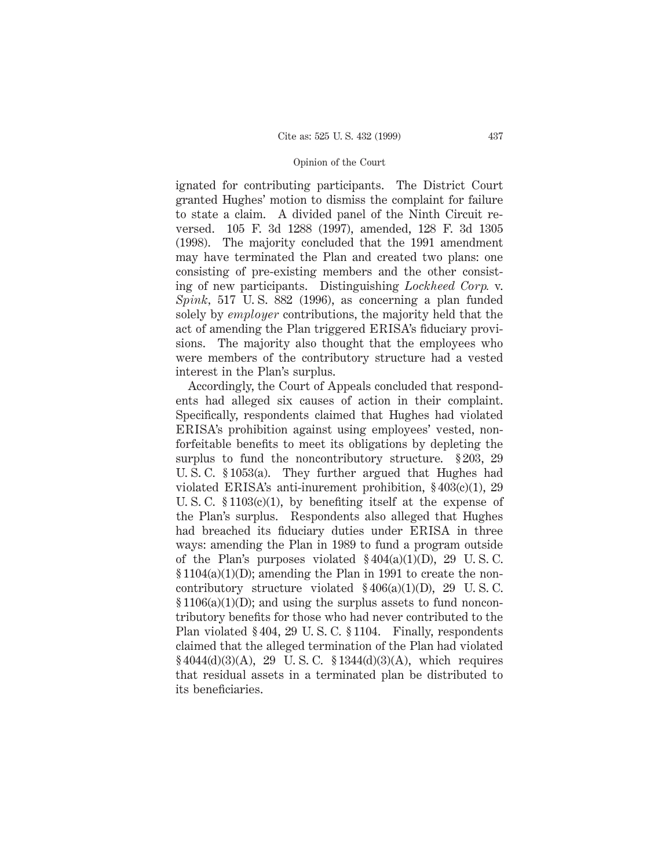ignated for contributing participants. The District Court granted Hughes' motion to dismiss the complaint for failure to state a claim. A divided panel of the Ninth Circuit reversed. 105 F. 3d 1288 (1997), amended, 128 F. 3d 1305 (1998). The majority concluded that the 1991 amendment may have terminated the Plan and created two plans: one consisting of pre-existing members and the other consisting of new participants. Distinguishing *Lockheed Corp.* v. *Spink,* 517 U. S. 882 (1996), as concerning a plan funded solely by *employer* contributions, the majority held that the act of amending the Plan triggered ERISA's fiduciary provisions. The majority also thought that the employees who were members of the contributory structure had a vested interest in the Plan's surplus.

Accordingly, the Court of Appeals concluded that respondents had alleged six causes of action in their complaint. Specifically, respondents claimed that Hughes had violated ERISA's prohibition against using employees' vested, nonforfeitable benefits to meet its obligations by depleting the surplus to fund the noncontributory structure. § 203, 29 U. S. C. § 1053(a). They further argued that Hughes had violated ERISA's anti-inurement prohibition, § 403(c)(1), 29 U. S. C.  $$1103(c)(1)$ , by benefiting itself at the expense of the Plan's surplus. Respondents also alleged that Hughes had breached its fiduciary duties under ERISA in three ways: amending the Plan in 1989 to fund a program outside of the Plan's purposes violated  $§404(a)(1)(D)$ , 29 U.S.C. § 1104(a)(1)(D); amending the Plan in 1991 to create the noncontributory structure violated  $§406(a)(1)(D)$ , 29 U.S.C. § 1106(a)(1)(D); and using the surplus assets to fund noncontributory benefits for those who had never contributed to the Plan violated § 404, 29 U. S. C. § 1104. Finally, respondents claimed that the alleged termination of the Plan had violated  $$4044(d)(3)(A), 29$  U.S.C.  $$1344(d)(3)(A),$  which requires that residual assets in a terminated plan be distributed to its beneficiaries.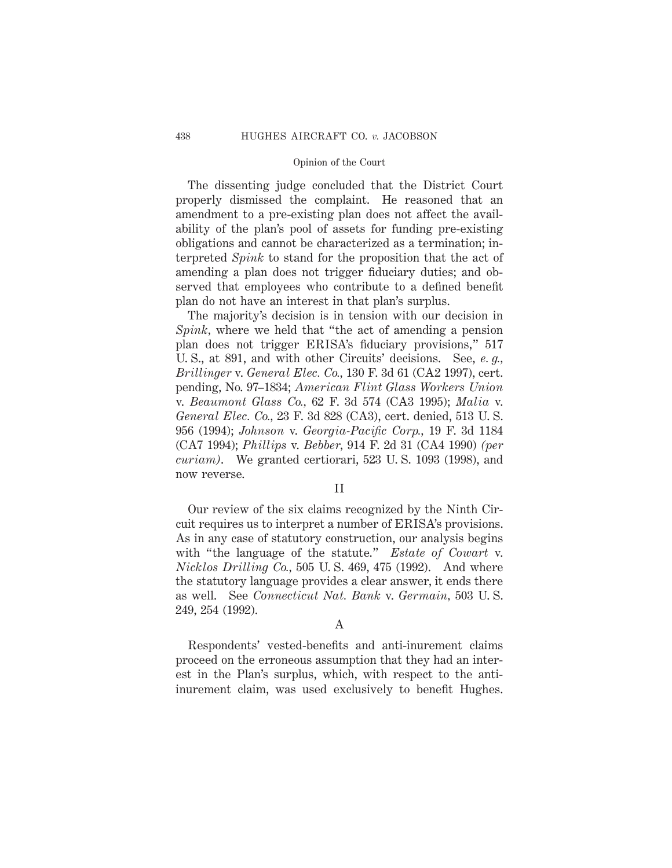The dissenting judge concluded that the District Court properly dismissed the complaint. He reasoned that an amendment to a pre-existing plan does not affect the availability of the plan's pool of assets for funding pre-existing obligations and cannot be characterized as a termination; interpreted *Spink* to stand for the proposition that the act of amending a plan does not trigger fiduciary duties; and observed that employees who contribute to a defined benefit plan do not have an interest in that plan's surplus.

The majority's decision is in tension with our decision in *Spink,* where we held that "the act of amending a pension plan does not trigger ERISA's fiduciary provisions," 517 U. S., at 891, and with other Circuits' decisions. See, *e. g., Brillinger* v. *General Elec. Co.,* 130 F. 3d 61 (CA2 1997), cert. pending, No. 97–1834; *American Flint Glass Workers Union* v. *Beaumont Glass Co.,* 62 F. 3d 574 (CA3 1995); *Malia* v. *General Elec. Co.,* 23 F. 3d 828 (CA3), cert. denied, 513 U. S. 956 (1994); *Johnson* v. *Georgia-Pacific Corp.,* 19 F. 3d 1184 (CA7 1994); *Phillips* v. *Bebber,* 914 F. 2d 31 (CA4 1990) *(per curiam)*. We granted certiorari, 523 U. S. 1093 (1998), and now reverse.

II

Our review of the six claims recognized by the Ninth Circuit requires us to interpret a number of ERISA's provisions. As in any case of statutory construction, our analysis begins with "the language of the statute." *Estate of Cowart* v. *Nicklos Drilling Co.,* 505 U. S. 469, 475 (1992). And where the statutory language provides a clear answer, it ends there as well. See *Connecticut Nat. Bank* v. *Germain,* 503 U. S. 249, 254 (1992).

# A

Respondents' vested-benefits and anti-inurement claims proceed on the erroneous assumption that they had an interest in the Plan's surplus, which, with respect to the antiinurement claim, was used exclusively to benefit Hughes.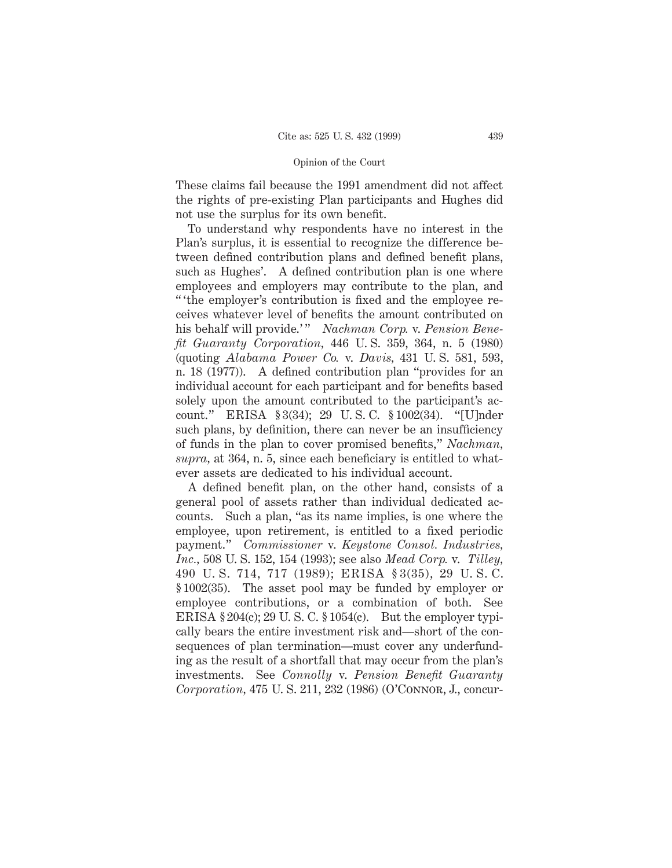These claims fail because the 1991 amendment did not affect the rights of pre-existing Plan participants and Hughes did not use the surplus for its own benefit.

To understand why respondents have no interest in the Plan's surplus, it is essential to recognize the difference between defined contribution plans and defined benefit plans, such as Hughes'. A defined contribution plan is one where employees and employers may contribute to the plan, and " 'the employer's contribution is fixed and the employee receives whatever level of benefits the amount contributed on his behalf will provide.'" *Nachman Corp.* v. *Pension Benefit Guaranty Corporation,* 446 U. S. 359, 364, n. 5 (1980) (quoting *Alabama Power Co.* v. *Davis,* 431 U. S. 581, 593, n. 18 (1977)). A defined contribution plan "provides for an individual account for each participant and for benefits based solely upon the amount contributed to the participant's account." ERISA § 3(34); 29 U. S. C. § 1002(34). "[U]nder such plans, by definition, there can never be an insufficiency of funds in the plan to cover promised benefits," *Nachman, supra,* at 364, n. 5, since each beneficiary is entitled to whatever assets are dedicated to his individual account.

A defined benefit plan, on the other hand, consists of a general pool of assets rather than individual dedicated accounts. Such a plan, "as its name implies, is one where the employee, upon retirement, is entitled to a fixed periodic payment." *Commissioner* v. *Keystone Consol. Industries, Inc.,* 508 U. S. 152, 154 (1993); see also *Mead Corp.* v. *Tilley,* 490 U. S. 714, 717 (1989); ERISA § 3(35), 29 U. S. C. § 1002(35). The asset pool may be funded by employer or employee contributions, or a combination of both. See ERISA  $\S 204(c)$ ; 29 U.S.C.  $\S 1054(c)$ . But the employer typically bears the entire investment risk and—short of the consequences of plan termination—must cover any underfunding as the result of a shortfall that may occur from the plan's investments. See *Connolly* v. *Pension Benefit Guaranty Corporation,* 475 U. S. 211, 232 (1986) (O'Connor, J., concur-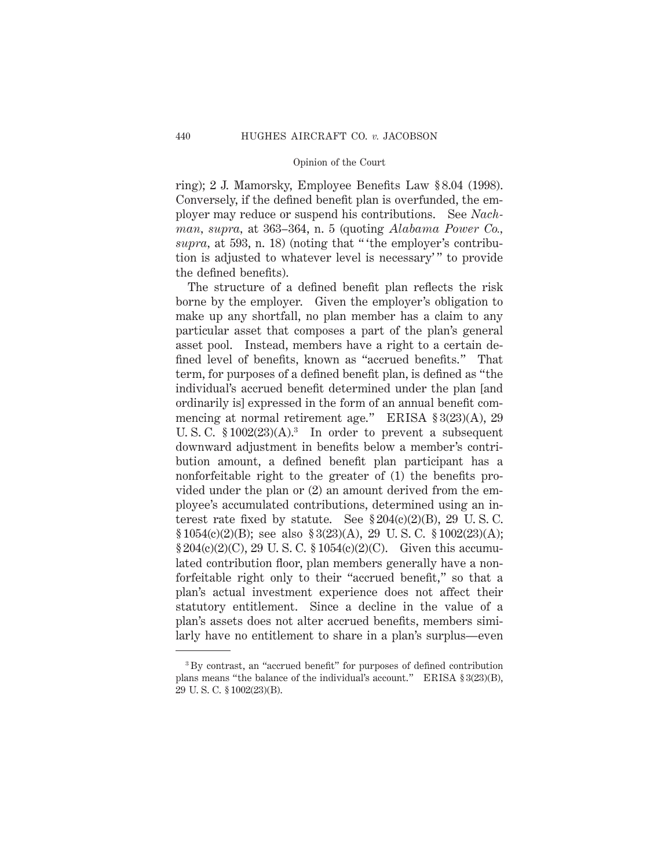ring); 2 J. Mamorsky, Employee Benefits Law § 8.04 (1998). Conversely, if the defined benefit plan is overfunded, the employer may reduce or suspend his contributions. See *Nachman, supra,* at 363–364, n. 5 (quoting *Alabama Power Co., supra,* at 593, n. 18) (noting that " 'the employer's contribution is adjusted to whatever level is necessary'" to provide the defined benefits).

The structure of a defined benefit plan reflects the risk borne by the employer. Given the employer's obligation to make up any shortfall, no plan member has a claim to any particular asset that composes a part of the plan's general asset pool. Instead, members have a right to a certain defined level of benefits, known as "accrued benefits." That term, for purposes of a defined benefit plan, is defined as "the individual's accrued benefit determined under the plan [and ordinarily is] expressed in the form of an annual benefit commencing at normal retirement age." ERISA § 3(23)(A), 29 U. S. C.  $$1002(23)(A).$ <sup>3</sup> In order to prevent a subsequent downward adjustment in benefits below a member's contribution amount, a defined benefit plan participant has a nonforfeitable right to the greater of (1) the benefits provided under the plan or (2) an amount derived from the employee's accumulated contributions, determined using an interest rate fixed by statute. See  $$204(c)(2)(B)$ , 29 U.S.C.  $$1054(c)(2)(B);$  see also  $$3(23)(A), 29$  U.S.C.  $$1002(23)(A);$  $$204(c)(2)(C), 29$  U.S.C.  $$1054(c)(2)(C)$ . Given this accumulated contribution floor, plan members generally have a nonforfeitable right only to their "accrued benefit," so that a plan's actual investment experience does not affect their statutory entitlement. Since a decline in the value of a plan's assets does not alter accrued benefits, members similarly have no entitlement to share in a plan's surplus—even

<sup>3</sup> By contrast, an "accrued benefit" for purposes of defined contribution plans means "the balance of the individual's account." ERISA § 3(23)(B), 29 U. S. C. § 1002(23)(B).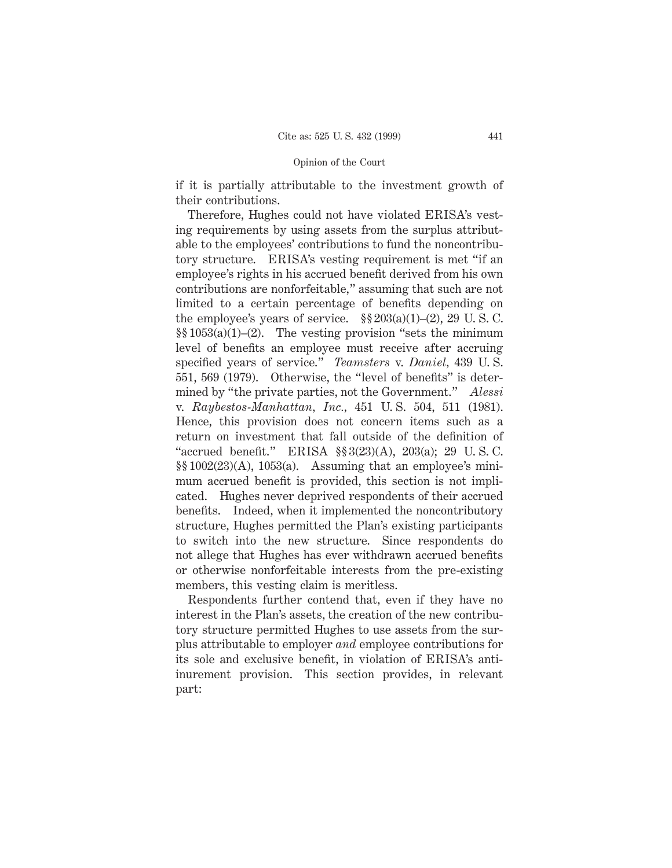if it is partially attributable to the investment growth of their contributions.

Therefore, Hughes could not have violated ERISA's vesting requirements by using assets from the surplus attributable to the employees' contributions to fund the noncontributory structure. ERISA's vesting requirement is met "if an employee's rights in his accrued benefit derived from his own contributions are nonforfeitable," assuming that such are not limited to a certain percentage of benefits depending on the employee's years of service.  $\S\S 203(a)(1)–(2)$ , 29 U.S.C.  $\S$ [053(a)(1)–(2). The vesting provision "sets the minimum level of benefits an employee must receive after accruing specified years of service." *Teamsters* v. *Daniel,* 439 U. S. 551, 569 (1979). Otherwise, the "level of benefits" is determined by "the private parties, not the Government." *Alessi* v. *Raybestos-Manhattan, Inc.,* 451 U. S. 504, 511 (1981). Hence, this provision does not concern items such as a return on investment that fall outside of the definition of "accrued benefit." ERISA §§ 3(23)(A), 203(a); 29 U. S. C. §§ 1002(23)(A), 1053(a). Assuming that an employee's minimum accrued benefit is provided, this section is not implicated. Hughes never deprived respondents of their accrued benefits. Indeed, when it implemented the noncontributory structure, Hughes permitted the Plan's existing participants to switch into the new structure. Since respondents do not allege that Hughes has ever withdrawn accrued benefits or otherwise nonforfeitable interests from the pre-existing members, this vesting claim is meritless.

Respondents further contend that, even if they have no interest in the Plan's assets, the creation of the new contributory structure permitted Hughes to use assets from the surplus attributable to employer *and* employee contributions for its sole and exclusive benefit, in violation of ERISA's antiinurement provision. This section provides, in relevant part: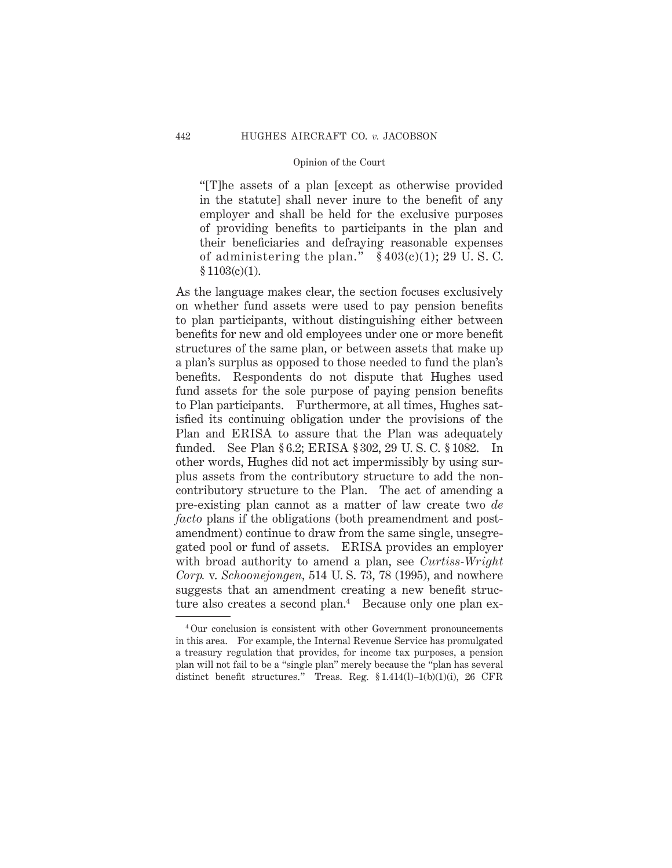"[T]he assets of a plan [except as otherwise provided in the statute] shall never inure to the benefit of any employer and shall be held for the exclusive purposes of providing benefits to participants in the plan and their beneficiaries and defraying reasonable expenses of administering the plan."  $§ 403(c)(1); 29 U. S. C.$  $$1103(c)(1).$ 

As the language makes clear, the section focuses exclusively on whether fund assets were used to pay pension benefits to plan participants, without distinguishing either between benefits for new and old employees under one or more benefit structures of the same plan, or between assets that make up a plan's surplus as opposed to those needed to fund the plan's benefits. Respondents do not dispute that Hughes used fund assets for the sole purpose of paying pension benefits to Plan participants. Furthermore, at all times, Hughes satisfied its continuing obligation under the provisions of the Plan and ERISA to assure that the Plan was adequately funded. See Plan § 6.2; ERISA § 302, 29 U. S. C. § 1082. In other words, Hughes did not act impermissibly by using surplus assets from the contributory structure to add the noncontributory structure to the Plan. The act of amending a pre-existing plan cannot as a matter of law create two *de facto* plans if the obligations (both preamendment and postamendment) continue to draw from the same single, unsegregated pool or fund of assets. ERISA provides an employer with broad authority to amend a plan, see *Curtiss-Wright Corp.* v. *Schoonejongen,* 514 U. S. 73, 78 (1995), and nowhere suggests that an amendment creating a new benefit structure also creates a second plan.<sup>4</sup> Because only one plan ex-

<sup>4</sup> Our conclusion is consistent with other Government pronouncements in this area. For example, the Internal Revenue Service has promulgated a treasury regulation that provides, for income tax purposes, a pension plan will not fail to be a "single plan" merely because the "plan has several distinct benefit structures." Treas. Reg.  $\S 1.414(1) - 1(b)(1)(i)$ , 26 CFR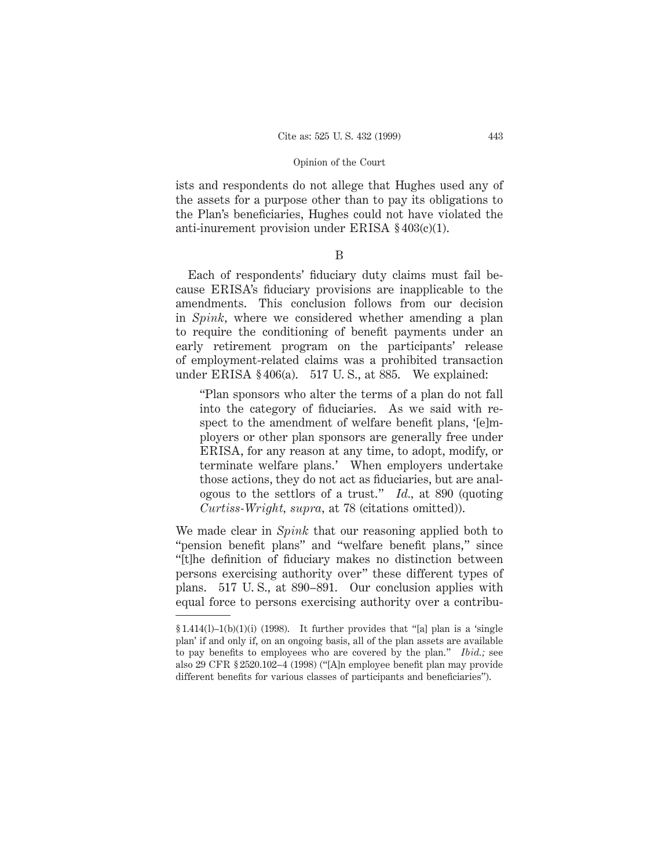ists and respondents do not allege that Hughes used any of the assets for a purpose other than to pay its obligations to the Plan's beneficiaries, Hughes could not have violated the anti-inurement provision under ERISA  $§\,403(c)(1)$ .

B

Each of respondents' fiduciary duty claims must fail because ERISA's fiduciary provisions are inapplicable to the amendments. This conclusion follows from our decision in *Spink,* where we considered whether amending a plan to require the conditioning of benefit payments under an early retirement program on the participants' release of employment-related claims was a prohibited transaction under ERISA  $§$ 406(a). 517 U.S., at 885. We explained:

"Plan sponsors who alter the terms of a plan do not fall into the category of fiduciaries. As we said with respect to the amendment of welfare benefit plans, '[e]mployers or other plan sponsors are generally free under ERISA, for any reason at any time, to adopt, modify, or terminate welfare plans.' When employers undertake those actions, they do not act as fiduciaries, but are analogous to the settlors of a trust." *Id.,* at 890 (quoting *Curtiss-Wright, supra,* at 78 (citations omitted)).

We made clear in *Spink* that our reasoning applied both to "pension benefit plans" and "welfare benefit plans," since "[t]he definition of fiduciary makes no distinction between persons exercising authority over" these different types of plans. 517 U. S., at 890–891. Our conclusion applies with equal force to persons exercising authority over a contribu-

 $§ 1.414(1) - 1(b)(1)(i)$  (1998). It further provides that "[a] plan is a 'single plan' if and only if, on an ongoing basis, all of the plan assets are available to pay benefits to employees who are covered by the plan." *Ibid.;* see also 29 CFR § 2520.102–4 (1998) ("[A]n employee benefit plan may provide different benefits for various classes of participants and beneficiaries").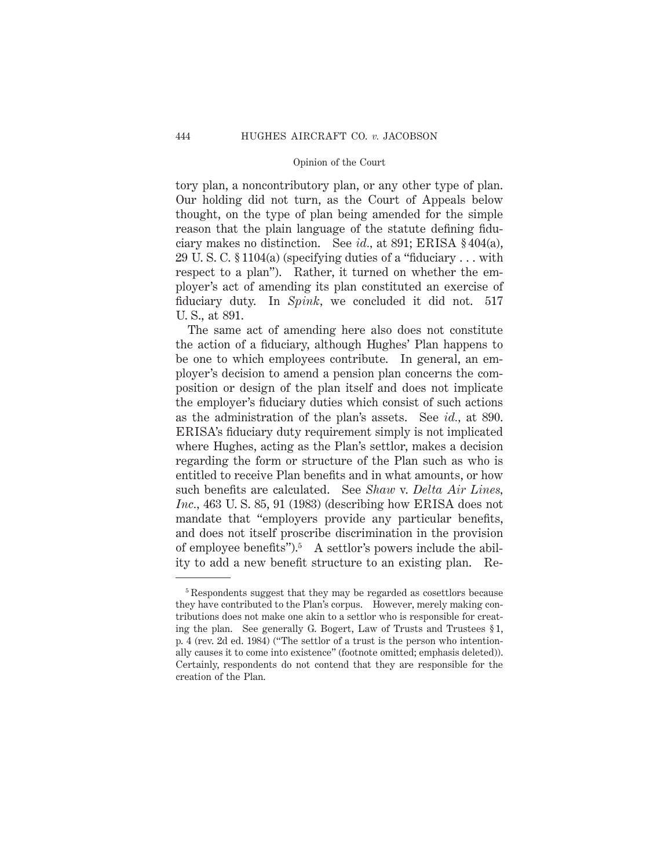tory plan, a noncontributory plan, or any other type of plan. Our holding did not turn, as the Court of Appeals below thought, on the type of plan being amended for the simple reason that the plain language of the statute defining fiduciary makes no distinction. See *id.,* at 891; ERISA § 404(a), 29 U. S. C. § 1104(a) (specifying duties of a "fiduciary . . . with respect to a plan"). Rather, it turned on whether the employer's act of amending its plan constituted an exercise of fiduciary duty. In *Spink,* we concluded it did not. 517 U. S., at 891.

The same act of amending here also does not constitute the action of a fiduciary, although Hughes' Plan happens to be one to which employees contribute. In general, an employer's decision to amend a pension plan concerns the composition or design of the plan itself and does not implicate the employer's fiduciary duties which consist of such actions as the administration of the plan's assets. See *id.,* at 890. ERISA's fiduciary duty requirement simply is not implicated where Hughes, acting as the Plan's settlor, makes a decision regarding the form or structure of the Plan such as who is entitled to receive Plan benefits and in what amounts, or how such benefits are calculated. See *Shaw* v. *Delta Air Lines, Inc.,* 463 U. S. 85, 91 (1983) (describing how ERISA does not mandate that "employers provide any particular benefits, and does not itself proscribe discrimination in the provision of employee benefits"). $5$  A settlor's powers include the ability to add a new benefit structure to an existing plan. Re-

<sup>5</sup> Respondents suggest that they may be regarded as cosettlors because they have contributed to the Plan's corpus. However, merely making contributions does not make one akin to a settlor who is responsible for creating the plan. See generally G. Bogert, Law of Trusts and Trustees § 1, p. 4 (rev. 2d ed. 1984) ("The settlor of a trust is the person who intentionally causes it to come into existence" (footnote omitted; emphasis deleted)). Certainly, respondents do not contend that they are responsible for the creation of the Plan.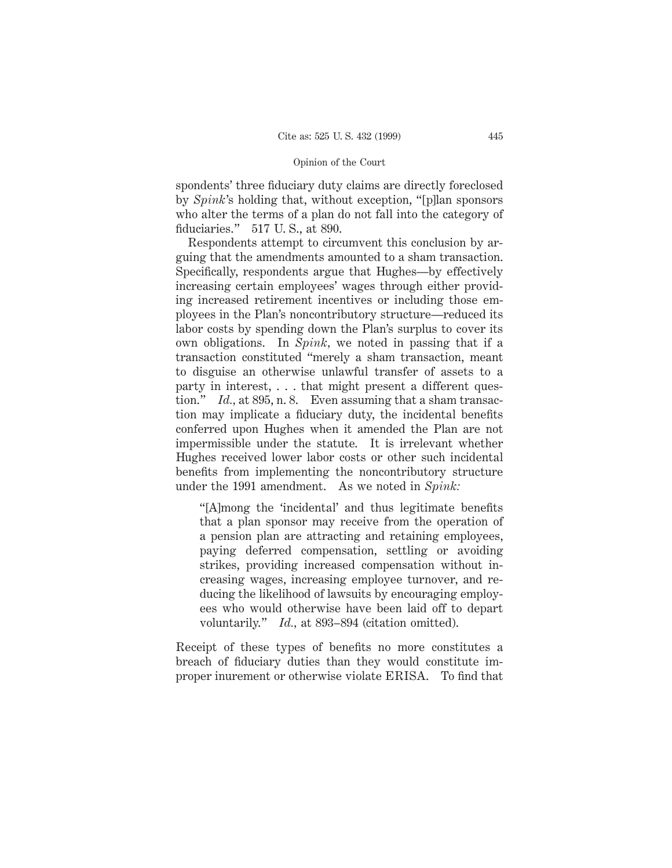spondents' three fiduciary duty claims are directly foreclosed by *Spink*'s holding that, without exception, "[p]lan sponsors who alter the terms of a plan do not fall into the category of fiduciaries." 517 U. S., at 890.

Respondents attempt to circumvent this conclusion by arguing that the amendments amounted to a sham transaction. Specifically, respondents argue that Hughes—by effectively increasing certain employees' wages through either providing increased retirement incentives or including those employees in the Plan's noncontributory structure—reduced its labor costs by spending down the Plan's surplus to cover its own obligations. In *Spink,* we noted in passing that if a transaction constituted "merely a sham transaction, meant to disguise an otherwise unlawful transfer of assets to a party in interest,... that might present a different question." *Id.*, at 895, n. 8. Even assuming that a sham transaction may implicate a fiduciary duty, the incidental benefits conferred upon Hughes when it amended the Plan are not impermissible under the statute. It is irrelevant whether Hughes received lower labor costs or other such incidental benefits from implementing the noncontributory structure under the 1991 amendment. As we noted in *Spink:*

"[A]mong the 'incidental' and thus legitimate benefits that a plan sponsor may receive from the operation of a pension plan are attracting and retaining employees, paying deferred compensation, settling or avoiding strikes, providing increased compensation without increasing wages, increasing employee turnover, and reducing the likelihood of lawsuits by encouraging employees who would otherwise have been laid off to depart voluntarily." *Id.,* at 893–894 (citation omitted).

Receipt of these types of benefits no more constitutes a breach of fiduciary duties than they would constitute improper inurement or otherwise violate ERISA. To find that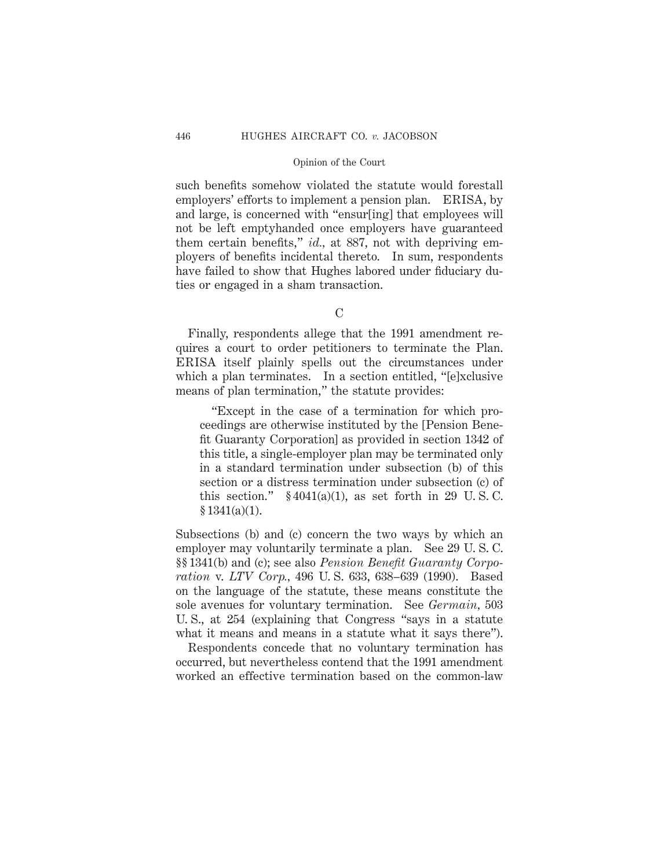such benefits somehow violated the statute would forestall employers' efforts to implement a pension plan. ERISA, by and large, is concerned with "ensur[ing] that employees will not be left emptyhanded once employers have guaranteed them certain benefits," *id.,* at 887, not with depriving employers of benefits incidental thereto. In sum, respondents have failed to show that Hughes labored under fiduciary duties or engaged in a sham transaction.

 $\mathcal{C}$ 

Finally, respondents allege that the 1991 amendment requires a court to order petitioners to terminate the Plan. ERISA itself plainly spells out the circumstances under which a plan terminates. In a section entitled, "[e]xclusive means of plan termination," the statute provides:

"Except in the case of a termination for which proceedings are otherwise instituted by the [Pension Benefit Guaranty Corporation] as provided in section 1342 of this title, a single-employer plan may be terminated only in a standard termination under subsection (b) of this section or a distress termination under subsection (c) of this section."  $§ 4041(a)(1)$ , as set forth in 29 U.S.C.  $§ 1341(a)(1).$ 

Subsections (b) and (c) concern the two ways by which an employer may voluntarily terminate a plan. See 29 U. S. C. §§ 1341(b) and (c); see also *Pension Benefit Guaranty Corporation* v. *LTV Corp.,* 496 U. S. 633, 638–639 (1990). Based on the language of the statute, these means constitute the sole avenues for voluntary termination. See *Germain,* 503 U. S., at 254 (explaining that Congress "says in a statute what it means and means in a statute what it says there").

Respondents concede that no voluntary termination has occurred, but nevertheless contend that the 1991 amendment worked an effective termination based on the common-law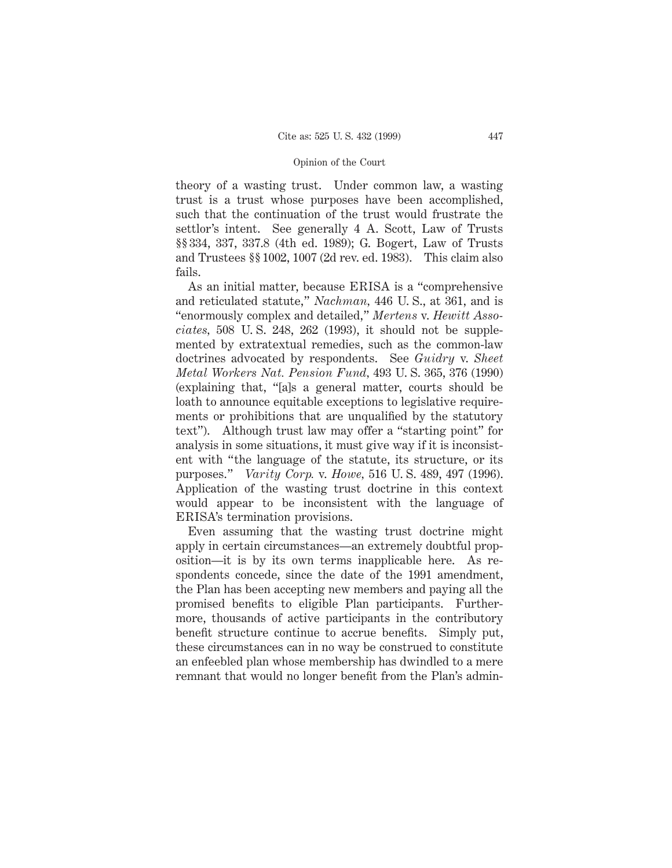theory of a wasting trust. Under common law, a wasting trust is a trust whose purposes have been accomplished, such that the continuation of the trust would frustrate the settlor's intent. See generally 4 A. Scott, Law of Trusts §§ 334, 337, 337.8 (4th ed. 1989); G. Bogert, Law of Trusts and Trustees §§ 1002, 1007 (2d rev. ed. 1983). This claim also fails.

As an initial matter, because ERISA is a "comprehensive and reticulated statute," *Nachman,* 446 U. S., at 361, and is "enormously complex and detailed," *Mertens* v. *Hewitt Associates,* 508 U. S. 248, 262 (1993), it should not be supplemented by extratextual remedies, such as the common-law doctrines advocated by respondents. See *Guidry* v. *Sheet Metal Workers Nat. Pension Fund,* 493 U. S. 365, 376 (1990) (explaining that, "[a]s a general matter, courts should be loath to announce equitable exceptions to legislative requirements or prohibitions that are unqualified by the statutory text"). Although trust law may offer a "starting point" for analysis in some situations, it must give way if it is inconsistent with "the language of the statute, its structure, or its purposes." *Varity Corp.* v. *Howe,* 516 U. S. 489, 497 (1996). Application of the wasting trust doctrine in this context would appear to be inconsistent with the language of ERISA's termination provisions.

Even assuming that the wasting trust doctrine might apply in certain circumstances—an extremely doubtful proposition—it is by its own terms inapplicable here. As respondents concede, since the date of the 1991 amendment, the Plan has been accepting new members and paying all the promised benefits to eligible Plan participants. Furthermore, thousands of active participants in the contributory benefit structure continue to accrue benefits. Simply put, these circumstances can in no way be construed to constitute an enfeebled plan whose membership has dwindled to a mere remnant that would no longer benefit from the Plan's admin-